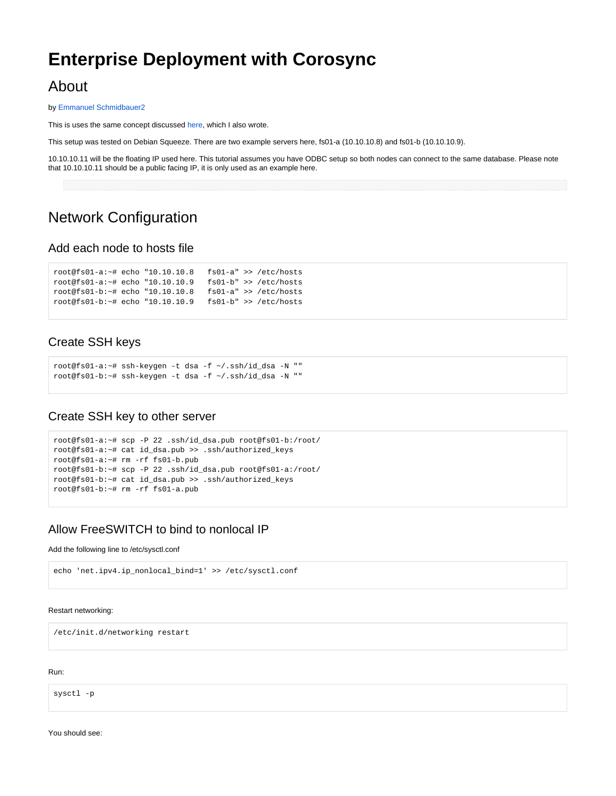# **Enterprise Deployment with Corosync**

## About

by [Emmanuel Schmidbauer2](https://freeswitch.org/confluence/display/~vipkilla)

This is uses the same concept discussed [here](https://freeswitch.org/confluence/display/FREESWITCH/High+Availability), which I also wrote.

This setup was tested on Debian Squeeze. There are two example servers here, fs01-a (10.10.10.8) and fs01-b (10.10.10.9).

10.10.10.11 will be the floating IP used here. This tutorial assumes you have ODBC setup so both nodes can connect to the same database. Please note that 10.10.10.11 should be a public facing IP, it is only used as an example here.

## Network Configuration

### Add each node to hosts file

```
root@fs01-a:~# echo "10.10.10.8 fs01-a" >> /etc/hosts
root@fs01-a:~# echo "10.10.10.9 fs01-b" >> /etc/hosts
root@fs01-b:~# echo "10.10.10.8 fs01-a" >> /etc/hosts
root@fs01-b:~# echo "10.10.10.9 fs01-b" >> /etc/hosts
```
### Create SSH keys

```
root@fs01-a:~# ssh-keygen -t dsa -f ~/.ssh/id_dsa -N ""
root@fs01-b:~# ssh-keygen -t dsa -f ~/.ssh/id_dsa -N ""
```
### Create SSH key to other server

```
root@fs01-a:~# scp -P 22 .ssh/id_dsa.pub root@fs01-b:/root/
root@fs01-a:~# cat id_dsa.pub >> .ssh/authorized_keys
root@fs01-a:~# rm -rf fs01-b.pub
root@fs01-b:~# scp -P 22 .ssh/id_dsa.pub root@fs01-a:/root/
root@fs01-b:~# cat id_dsa.pub >> .ssh/authorized_keys
root@fs01-b:~# rm -rf fs01-a.pub
```
### Allow FreeSWITCH to bind to nonlocal IP

#### Add the following line to /etc/sysctl.conf

```
echo 'net.ipv4.ip_nonlocal_bind=1' >> /etc/sysctl.conf
```
#### Restart networking:

/etc/init.d/networking restart

Run:

sysctl -p

You should see: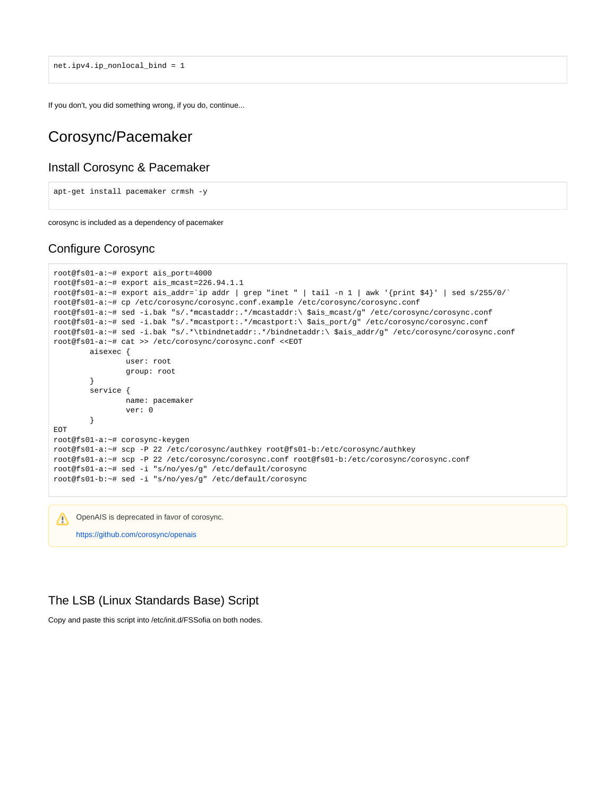net.ipv4.ip\_nonlocal\_bind = 1

If you don't, you did something wrong, if you do, continue...

## Corosync/Pacemaker

### Install Corosync & Pacemaker

```
apt-get install pacemaker crmsh -y
```
corosync is included as a dependency of pacemaker

### Configure Corosync

```
root@fs01-a:~# export ais_port=4000
root@fs01-a:~# export ais_mcast=226.94.1.1
root@fs01-a:~# export ais_addr=`ip addr | grep "inet " | tail -n 1 | awk '{print $4}' | sed s/255/0/`
root@fs01-a:~# cp /etc/corosync/corosync.conf.example /etc/corosync/corosync.conf
root@fs01-a:~# sed -i.bak "s/.*mcastaddr:.*/mcastaddr:\ $ais_mcast/g" /etc/corosync/corosync.conf
root@fs01-a:~# sed -i.bak "s/.*mcastport:.*/mcastport:\ $ais_port/g" /etc/corosync/corosync.conf
root@fs01-a:~# sed -i.bak "s/.*\tbindnetaddr:.*/bindnetaddr:\ $ais_addr/g" /etc/corosync/corosync.conf
root@fs01-a:~# cat >> /etc/corosync/corosync.conf <<EOT
        aisexec {
                user: root
                group: root
         }
        service {
                name: pacemaker
                ver: 0
         }
EOT
root@fs01-a:~# corosync-keygen
root@fs01-a:~# scp -P 22 /etc/corosync/authkey root@fs01-b:/etc/corosync/authkey
root@fs01-a:~# scp -P 22 /etc/corosync/corosync.conf root@fs01-b:/etc/corosync/corosync.conf
root@fs01-a:~# sed -i "s/no/yes/g" /etc/default/corosync
root@fs01-b:~# sed -i "s/no/yes/g" /etc/default/corosync
```
OpenAIS is deprecated in favor of corosync. Λ

#### <https://github.com/corosync/openais>

### The LSB (Linux Standards Base) Script

Copy and paste this script into /etc/init.d/FSSofia on both nodes.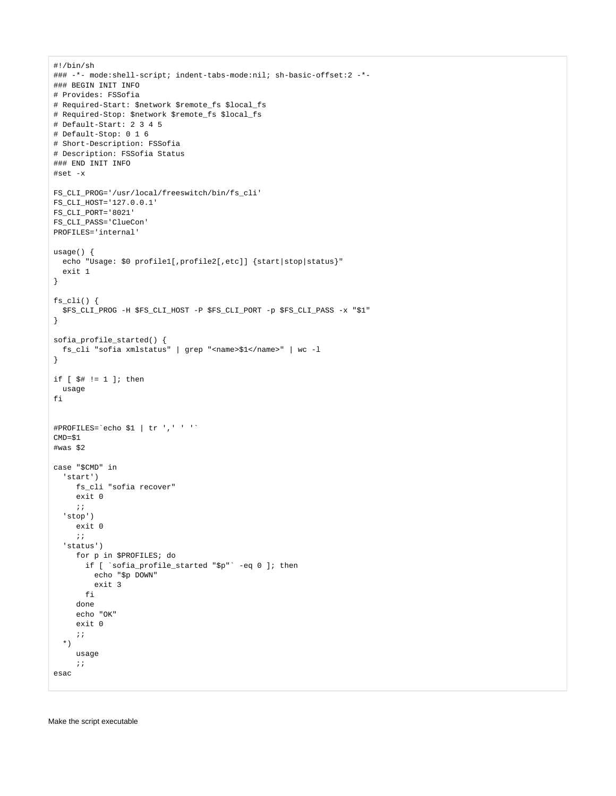```
#!/bin/sh
### -*- mode:shell-script; indent-tabs-mode:nil; sh-basic-offset:2 -*-
### BEGIN INIT INFO
# Provides: FSSofia
# Required-Start: $network $remote_fs $local_fs
# Required-Stop: $network $remote fs $local fs
# Default-Start: 2 3 4 5
# Default-Stop: 0 1 6
# Short-Description: FSSofia
# Description: FSSofia Status
### END INIT INFO
#set -x
\verb|FS_CLL_PROG='|usr/local/frees with/bin/fs\_cli'|FS CLI HOST='127.0.0.1'
FS CLI PORT='8021'
FS_CLI_PASS='ClueCon'
- - -<br>PROFILES='internal'
usage() \{echo "Usage: $0 profile1[,profile2[,etc]] {start|stop|status}"
 exit 1
\overline{\phantom{a}}fs cli() {
  $FS_CLI_PROG -H $FS_CLI_HOST -P $FS_CLI_PORT -p $FS_CLI_PASS -x "$1"
\mathcal{E}sofia profile started() {
 fs_cli "sofia xmlstatus" | grep "<name>$1</name>" | wc -1
\overline{\phantom{a}}if [ $# != 1 ]; then
usage
f_1#PROFILES='echo $1 | tr ',' ' ''
CMD=$1#was $2
case "$CMD" in
  'start')
    fs_cli "sofia recover"
    exit 0
    \cdots'stop')exit 0
     \mathcal{L}'status')
    for p in $PROFILES; do
       if [ 'sofia_profile_started "$p" '-eq 0 ]; then
         echo "$p DOWN"
         exit 3
       fi
    done
     echo "OK"
     exit 0
     \mathcal{I}\star)
     usaae\hat{r} \hat{r}esac
```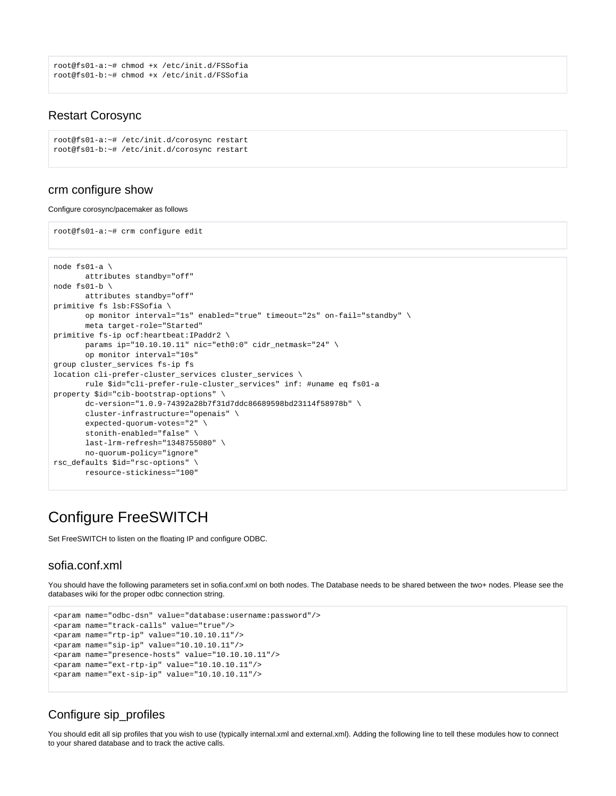```
root@fs01-a:~# chmod +x /etc/init.d/FSSofia
root@fs01-b:~# chmod +x /etc/init.d/FSSofia
```
### Restart Corosync

```
root@fs01-a:~# /etc/init.d/corosync restart
root@fs01-b:~# /etc/init.d/corosync restart
```
### crm configure show

#### Configure corosync/pacemaker as follows

root@fs01-a:~# crm configure edit

```
node fs01-a \
        attributes standby="off"
node fs01-b \
       attributes standby="off"
primitive fs lsb:FSSofia \
       op monitor interval="1s" enabled="true" timeout="2s" on-fail="standby" \
        meta target-role="Started"
primitive fs-ip ocf:heartbeat:IPaddr2 \
        params ip="10.10.10.11" nic="eth0:0" cidr_netmask="24" \
        op monitor interval="10s"
group cluster_services fs-ip fs
location cli-prefer-cluster_services cluster_services \
       rule $id="cli-prefer-rule-cluster_services" inf: #uname eq fs01-a
property $id="cib-bootstrap-options" \
        dc-version="1.0.9-74392a28b7f31d7ddc86689598bd23114f58978b" \
        cluster-infrastructure="openais" \
        expected-quorum-votes="2" \
       stonith-enabled="false" \
       last-lrm-refresh="1348755080" \
       no-quorum-policy="ignore"
rsc_defaults $id="rsc-options" \
        resource-stickiness="100"
```
## Configure FreeSWITCH

Set FreeSWITCH to listen on the floating IP and configure ODBC.

### sofia.conf.xml

You should have the following parameters set in sofia.conf.xml on both nodes. The Database needs to be shared between the two+ nodes. Please see the databases wiki for the proper odbc connection string.

```
<param name="odbc-dsn" value="database:username:password"/>
<param name="track-calls" value="true"/>
<param name="rtp-ip" value="10.10.10.11"/>
<param name="sip-ip" value="10.10.10.11"/>
<param name="presence-hosts" value="10.10.10.11"/>
<param name="ext-rtp-ip" value="10.10.10.11"/>
<param name="ext-sip-ip" value="10.10.10.11"/>
```
### Configure sip\_profiles

You should edit all sip profiles that you wish to use (typically internal.xml and external.xml). Adding the following line to tell these modules how to connect to your shared database and to track the active calls.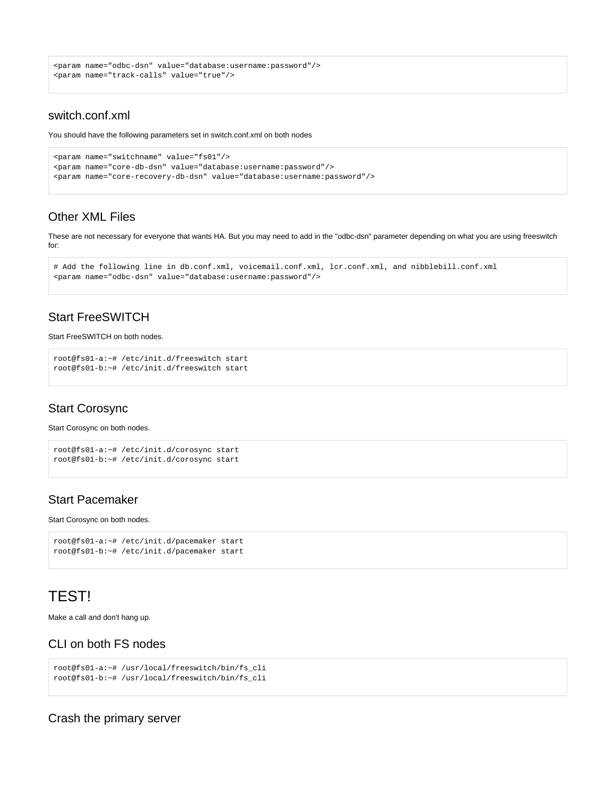```
<param name="odbc-dsn" value="database:username:password"/>
<param name="track-calls" value="true"/>
```
### switch.conf.xml

You should have the following parameters set in switch.conf.xml on both nodes

```
<param name="switchname" value="fs01"/>
<param name="core-db-dsn" value="database:username:password"/>
<param name="core-recovery-db-dsn" value="database:username:password"/>
```
### Other XML Files

These are not necessary for everyone that wants HA. But you may need to add in the "odbc-dsn" parameter depending on what you are using freeswitch for:

```
# Add the following line in db.conf.xml, voicemail.conf.xml, lcr.conf.xml, and nibblebill.conf.xml
<param name="odbc-dsn" value="database:username:password"/>
```
### Start FreeSWITCH

#### Start FreeSWITCH on both nodes.

```
root@fs01-a:~# /etc/init.d/freeswitch start
root@fs01-b:~# /etc/init.d/freeswitch start
```
### Start Corosync

Start Corosync on both nodes.

```
root@fs01-a:~# /etc/init.d/corosync start
root@fs01-b:~# /etc/init.d/corosync start
```
### Start Pacemaker

Start Corosync on both nodes.

```
root@fs01-a:~# /etc/init.d/pacemaker start
root@fs01-b:~# /etc/init.d/pacemaker start
```
## TEST!

Make a call and don't hang up.

### CLI on both FS nodes

```
root@fs01-a:~# /usr/local/freeswitch/bin/fs_cli
root@fs01-b:~# /usr/local/freeswitch/bin/fs_cli
```
Crash the primary server